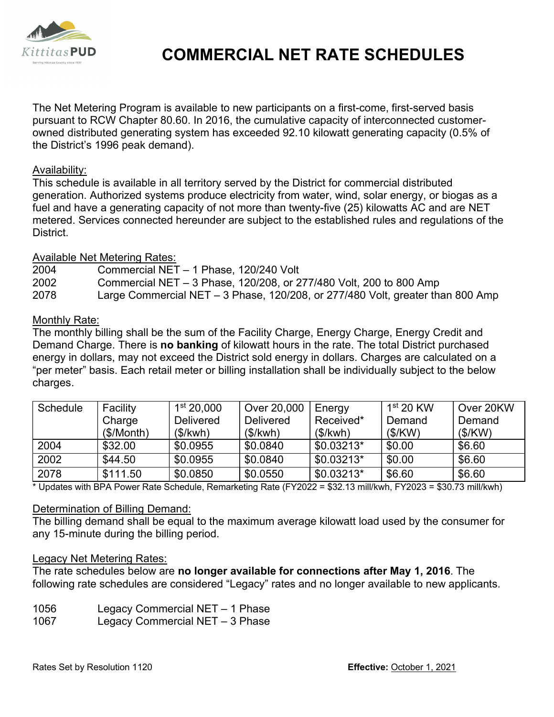

# COMMERCIAL NET RATE SCHEDULES

The Net Metering Program is available to new participants on a first-come, first-served basis pursuant to RCW Chapter 80.60. In 2016, the cumulative capacity of interconnected customerowned distributed generating system has exceeded 92.10 kilowatt generating capacity (0.5% of the District's 1996 peak demand).

### Availability:

- 2004 Commercial NET 1 Phase, 120/240 Volt
- 2002 Commercial NET 3 Phase, 120/208, or 277/480 Volt, 200 to 800 Amp

## Monthly Rate:

| Avallavilly.                                                                           |                                                                    |                                 |                                                                                                                                                                                                     |                     |             |           |  |  |  |  |
|----------------------------------------------------------------------------------------|--------------------------------------------------------------------|---------------------------------|-----------------------------------------------------------------------------------------------------------------------------------------------------------------------------------------------------|---------------------|-------------|-----------|--|--|--|--|
|                                                                                        |                                                                    |                                 | This schedule is available in all territory served by the District for commercial distributed                                                                                                       |                     |             |           |  |  |  |  |
|                                                                                        |                                                                    |                                 | generation. Authorized systems produce electricity from water, wind, solar energy, or biogas as a<br>fuel and have a generating capacity of not more than twenty-five (25) kilowatts AC and are NET |                     |             |           |  |  |  |  |
|                                                                                        |                                                                    |                                 | metered. Services connected hereunder are subject to the established rules and regulations of the                                                                                                   |                     |             |           |  |  |  |  |
| District.                                                                              |                                                                    |                                 |                                                                                                                                                                                                     |                     |             |           |  |  |  |  |
|                                                                                        |                                                                    |                                 |                                                                                                                                                                                                     |                     |             |           |  |  |  |  |
|                                                                                        | <b>Available Net Metering Rates:</b>                               |                                 |                                                                                                                                                                                                     |                     |             |           |  |  |  |  |
| 2004<br>Commercial NET - 1 Phase, 120/240 Volt                                         |                                                                    |                                 |                                                                                                                                                                                                     |                     |             |           |  |  |  |  |
| 2002                                                                                   | Commercial NET - 3 Phase, 120/208, or 277/480 Volt, 200 to 800 Amp |                                 |                                                                                                                                                                                                     |                     |             |           |  |  |  |  |
| 2078<br>Large Commercial NET - 3 Phase, 120/208, or 277/480 Volt, greater than 800 Amp |                                                                    |                                 |                                                                                                                                                                                                     |                     |             |           |  |  |  |  |
| Monthly Rate:                                                                          |                                                                    |                                 |                                                                                                                                                                                                     |                     |             |           |  |  |  |  |
|                                                                                        |                                                                    |                                 | The monthly billing shall be the sum of the Facility Charge, Energy Charge, Energy Credit and                                                                                                       |                     |             |           |  |  |  |  |
|                                                                                        |                                                                    |                                 | Demand Charge. There is no banking of kilowatt hours in the rate. The total District purchased                                                                                                      |                     |             |           |  |  |  |  |
|                                                                                        |                                                                    |                                 | energy in dollars, may not exceed the District sold energy in dollars. Charges are calculated on a                                                                                                  |                     |             |           |  |  |  |  |
|                                                                                        |                                                                    |                                 | "per meter" basis. Each retail meter or billing installation shall be individually subject to the below                                                                                             |                     |             |           |  |  |  |  |
| charges.                                                                               |                                                                    |                                 |                                                                                                                                                                                                     |                     |             |           |  |  |  |  |
|                                                                                        |                                                                    | 1 <sup>st</sup> 20,000          |                                                                                                                                                                                                     |                     | $1st$ 20 KW | Over 20KW |  |  |  |  |
| Schedule                                                                               | Facility<br>Charge                                                 | Delivered                       | Over 20,000<br>Delivered                                                                                                                                                                            | Energy<br>Received* | Demand      | Demand    |  |  |  |  |
|                                                                                        | (\$/Month)                                                         | (\$/kwh)                        | (\$/kwh)                                                                                                                                                                                            | (\$/kwh)            | (\$/KW)     | (\$/KW)   |  |  |  |  |
| 2004                                                                                   | \$32.00                                                            | \$0.0955                        | \$0.0840                                                                                                                                                                                            | $$0.03213*$         | \$0.00      | \$6.60    |  |  |  |  |
| 2002                                                                                   | \$44.50                                                            | \$0.0955                        | \$0.0840                                                                                                                                                                                            | $$0.03213*$         | \$0.00      | \$6.60    |  |  |  |  |
| 2078                                                                                   | \$111.50                                                           | \$0.0850                        | \$0.0550                                                                                                                                                                                            | $$0.03213*$         | \$6.60      | \$6.60    |  |  |  |  |
|                                                                                        |                                                                    |                                 | Updates with BPA Power Rate Schedule, Remarketing Rate (FY2022 = \$32.13 mill/kwh, FY2023 = \$30.73 mill/kwh)                                                                                       |                     |             |           |  |  |  |  |
|                                                                                        |                                                                    |                                 |                                                                                                                                                                                                     |                     |             |           |  |  |  |  |
|                                                                                        | Determination of Billing Demand:                                   |                                 |                                                                                                                                                                                                     |                     |             |           |  |  |  |  |
|                                                                                        |                                                                    |                                 | The billing demand shall be equal to the maximum average kilowatt load used by the consumer for                                                                                                     |                     |             |           |  |  |  |  |
|                                                                                        | any 15-minute during the billing period.                           |                                 |                                                                                                                                                                                                     |                     |             |           |  |  |  |  |
|                                                                                        | <b>Legacy Net Metering Rates:</b>                                  |                                 |                                                                                                                                                                                                     |                     |             |           |  |  |  |  |
|                                                                                        |                                                                    |                                 | The rate schedules below are no longer available for connections after May 1, 2016. The                                                                                                             |                     |             |           |  |  |  |  |
|                                                                                        |                                                                    |                                 | following rate schedules are considered "Legacy" rates and no longer available to new applicants.                                                                                                   |                     |             |           |  |  |  |  |
| 1056                                                                                   |                                                                    | Legacy Commercial NET - 1 Phase |                                                                                                                                                                                                     |                     |             |           |  |  |  |  |
| 1067                                                                                   |                                                                    | Legacy Commercial NET - 3 Phase |                                                                                                                                                                                                     |                     |             |           |  |  |  |  |
|                                                                                        |                                                                    |                                 |                                                                                                                                                                                                     |                     |             |           |  |  |  |  |

### Determination of Billing Demand:

### Legacy Net Metering Rates:

- 1056 Legacy Commercial NET 1 Phase
- 1067 Legacy Commercial NET 3 Phase